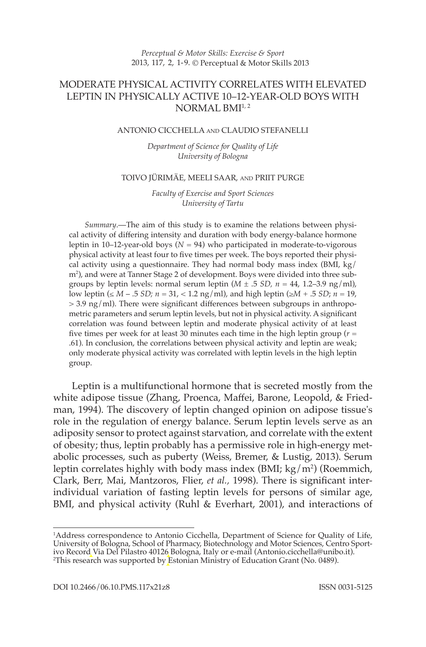### 2013, 117, 2, 1-9. © Perceptual & Motor Skills 2013 *Perceptual & Motor Skills: Exercise & Sport*

# MODERATE PHYSICAL ACTIVITY CORRELATES WITH ELEVATED LEPTIN IN PHYSICALLY ACTIVE 10–12-YEAR-OLD BOYS WITH  $NORMAI$ .  $BMI<sup>1, 2</sup>$

### ANTONIO CICCHELLA AND CLAUDIO STEFANELLI

 *Department of Science for Quality of Life University of Bologna* 

### TOIVO JÜRIMÄE, MEELI SAAR, AND PRIIT PURGE

 *Faculty of Exercise and Sport Sciences University of Tartu* 

*Summary* .— The aim of this study is to examine the relations between physical activity of differing intensity and duration with body energy-balance hormone leptin in 10–12-year-old boys ( $N = 94$ ) who participated in moderate-to-vigorous physical activity at least four to five times per week. The boys reported their physical activity using a questionnaire. They had normal body mass index (BMI, kg/ m<sup>2</sup>), and were at Tanner Stage 2 of development. Boys were divided into three subgroups by leptin levels: normal serum leptin  $(M \pm .5 SD, n = 44, 1.2-3.9$  ng/ml), low leptin (≤ *M* – .5 *SD; n* = 31, < 1.2 ng/ml), and high leptin (≥*M* + .5 *SD* ; *n* = 19,  $> 3.9$  ng/ml). There were significant differences between subgroups in anthropometric parameters and serum leptin levels, but not in physical activity. A significant correlation was found between leptin and moderate physical activity of at least five times per week for at least 30 minutes each time in the high leptin group ( $r =$ .61). In conclusion, the correlations between physical activity and leptin are weak; only moderate physical activity was correlated with leptin levels in the high leptin group.

 Leptin is a multifunctional hormone that is secreted mostly from the white adipose tissue (Zhang, Proenca, Maffei, Barone, Leopold, & Friedman, 1994). The discovery of leptin changed opinion on adipose tissue's role in the regulation of energy balance. Serum leptin levels serve as an adiposity sensor to protect against starvation, and correlate with the extent of obesity; thus, leptin probably has a permissive role in high-energy metabolic processes, such as puberty ( Weiss, Bremer, & Lustig, 2013 ). Serum leptin correlates highly with body mass index (BMI; kg/m<sup>2</sup>) (Roemmich, Clark, Berr, Mai, Mantzoros, Flier, et al., 1998). There is significant interindividual variation of fasting leptin levels for persons of similar age, BMI, and physical activity (Ruhl & Everhart, 2001), and interactions of

<sup>1</sup> Address correspondence to Antonio Cicchella, Department of Science for Quality of Life, University of Bologna, School of Pharmacy, Biotechnology and Motor Sciences, Centro Sportivo Record Via Del Pilastro 40126 Bologna, Italy or e-mail ( Antonio.cicchella@unibo.it ). 2 This research was supported by Estonian Ministry of Education Grant (No. 0489).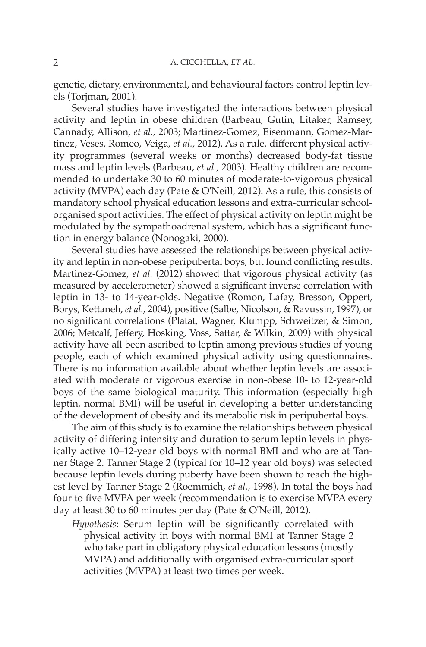genetic, dietary, environmental, and behavioural factors control leptin levels ( Torjman, 2001 ).

 Several studies have investigated the interactions between physical activity and leptin in obese children (Barbeau, Gutin, Litaker, Ramsey, Cannady, Allison, et al., 2003; Martinez-Gomez, Eisenmann, Gomez-Martinez, Veses, Romeo, Veiga, *et al.*, 2012). As a rule, different physical activity programmes (several weeks or months) decreased body-fat tissue mass and leptin levels ( Barbeau, *et al.,* 2003 ). Healthy children are recommended to undertake 30 to 60 minutes of moderate-to-vigorous physical activity (MVPA) each day ( Pate & O'Neill, 2012 ). As a rule, this consists of mandatory school physical education lessons and extra-curricular schoolorganised sport activities. The effect of physical activity on leptin might be modulated by the sympathoadrenal system, which has a significant function in energy balance (Nonogaki, 2000).

 Several studies have assessed the relationships between physical activity and leptin in non-obese peripubertal boys, but found conflicting results. Martinez-Gomez, *et al.* (2012) showed that vigorous physical activity (as measured by accelerometer) showed a significant inverse correlation with leptin in 13- to 14-year-olds. Negative (Romon, Lafay, Bresson, Oppert, Borys, Kettaneh, *et al.,* 2004 ), positive ( Salbe, Nicolson, & Ravussin, 1997 ), or no significant correlations (Platat, Wagner, Klumpp, Schweitzer, & Simon, 2006; Metcalf, Jeffery, Hosking, Voss, Sattar, & Wilkin, 2009) with physical activity have all been ascribed to leptin among previous studies of young people, each of which examined physical activity using questionnaires. There is no information available about whether leptin levels are associated with moderate or vigorous exercise in non-obese 10- to 12-year-old boys of the same biological maturity. This information (especially high leptin, normal BMI) will be useful in developing a better understanding of the development of obesity and its metabolic risk in peripubertal boys.

 The aim of this study is to examine the relationships between physical activity of differing intensity and duration to serum leptin levels in physically active 10–12-year old boys with normal BMI and who are at Tanner Stage 2. Tanner Stage 2 (typical for 10–12 year old boys) was selected because leptin levels during puberty have been shown to reach the highest level by Tanner Stage 2 (Roemmich, *et al.*, 1998). In total the boys had four to five MVPA per week (recommendation is to exercise MVPA every day at least 30 to 60 minutes per day (Pate & O'Neill, 2012).

*Hypothesis*: Serum leptin will be significantly correlated with physical activity in boys with normal BMI at Tanner Stage 2 who take part in obligatory physical education lessons (mostly MVPA) and additionally with organised extra-curricular sport activities (MVPA) at least two times per week.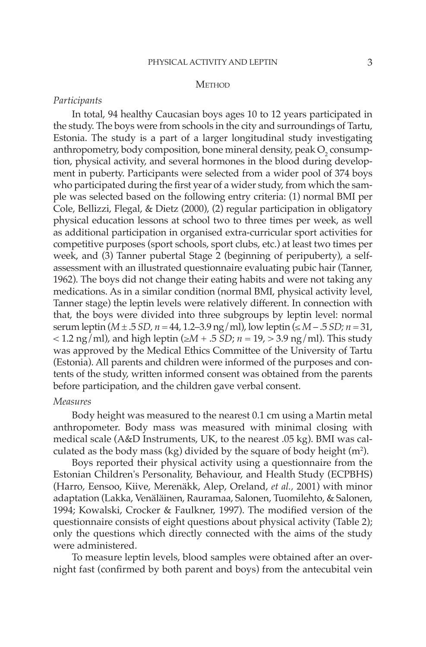### **METHOD**

## *Participants*

 In total, 94 healthy Caucasian boys ages 10 to 12 years participated in the study. The boys were from schools in the city and surroundings of Tartu, Estonia. The study is a part of a larger longitudinal study investigating anthropometry, body composition, bone mineral density, peak  $\mathrm{O}_2$  consumption, physical activity, and several hormones in the blood during development in puberty. Participants were selected from a wider pool of 374 boys who participated during the first year of a wider study, from which the sample was selected based on the following entry criteria: (1) normal BMI per Cole, Bellizzi, Flegal, & Dietz (2000), (2) regular participation in obligatory physical education lessons at school two to three times per week, as well as additional participation in organised extra-curricular sport activities for competitive purposes (sport schools, sport clubs, etc.) at least two times per week, and (3) Tanner pubertal Stage 2 (beginning of peripuberty), a selfassessment with an illustrated questionnaire evaluating pubic hair ( Tanner, 1962). The boys did not change their eating habits and were not taking any medications. As in a similar condition (normal BMI, physical activity level, Tanner stage) the leptin levels were relatively different. In connection with that, the boys were divided into three subgroups by leptin level: normal serum leptin ( $M \pm .5$  *SD,*  $n = 44$ , 1.2–3.9 ng/ml), low leptin ( $\leq M - .5$  *SD;*  $n = 31$ ,  $<$  1.2 ng/ml), and high leptin ( $\geq M + .5$  *SD*; *n* = 19,  $>$  3.9 ng/ml). This study was approved by the Medical Ethics Committee of the University of Tartu (Estonia). All parents and children were informed of the purposes and contents of the study, written informed consent was obtained from the parents before participation, and the children gave verbal consent.

### *Measures*

 Body height was measured to the nearest 0.1 cm using a Martin metal anthropometer. Body mass was measured with minimal closing with medical scale (A&D Instruments, UK, to the nearest .05 kg). BMI was calculated as the body mass (kg) divided by the square of body height  $(m<sup>2</sup>)$ .

 Boys reported their physical activity using a questionnaire from the Estonian Children's Personality, Behaviour, and Health Study (ECPBHS) ( Harro, Eensoo, Kiive, Merenäkk, Alep, Oreland, *et al.,* 2001 ) with minor adaptation (Lakka, Venäläinen, Rauramaa, Salonen, Tuomilehto, & Salonen, 1994; Kowalski, Crocker & Faulkner, 1997). The modified version of the questionnaire consists of eight questions about physical activity (Table 2); only the questions which directly connected with the aims of the study were administered.

 To measure leptin levels, blood samples were obtained after an overnight fast (confirmed by both parent and boys) from the antecubital vein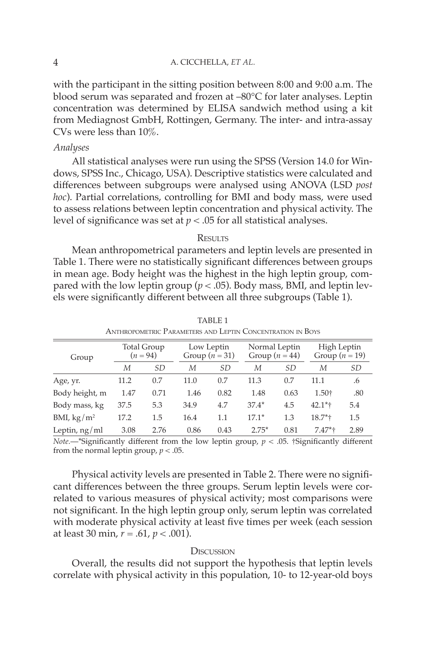with the participant in the sitting position between 8:00 and 9:00 a.m. The blood serum was separated and frozen at –80°C for later analyses. Leptin concentration was determined by ELISA sandwich method using a kit from Mediagnost GmbH, Rottingen, Germany. The inter- and intra-assay CVs were less than 10%.

## *Analyses*

 All statistical analyses were run using the SPSS (Version 14.0 for Windows, SPSS Inc., Chicago, USA). Descriptive statistics were calculated and diff erences between subgroups were analysed using ANOVA (LSD *post hoc* ). Partial correlations, controlling for BMI and body mass, were used to assess relations between leptin concentration and physical activity. The level of significance was set at  $p < .05$  for all statistical analyses.

### **RESULTS**

 Mean anthropometrical parameters and leptin levels are presented in Table 1. There were no statistically significant differences between groups in mean age. Body height was the highest in the high leptin group, compared with the low leptin group ( $p < .05$ ). Body mass, BMI, and leptin levels were significantly different between all three subgroups (Table 1).

| ANTHROPOMETRIC I ARAMETERS AND LEPTIN CONCENTRATION IN DOTS |                                  |      |                              |         |                                   |      |                                 |           |  |  |  |  |
|-------------------------------------------------------------|----------------------------------|------|------------------------------|---------|-----------------------------------|------|---------------------------------|-----------|--|--|--|--|
| Group                                                       | <b>Total Group</b><br>$(n = 94)$ |      | Low Leptin<br>Group $(n=31)$ |         | Normal Leptin<br>Group $(n = 44)$ |      | High Leptin<br>Group $(n = 19)$ |           |  |  |  |  |
|                                                             | М                                | SD.  | М                            | SD      | М                                 | SD   | М                               | <i>SD</i> |  |  |  |  |
| Age, yr.                                                    | 11.2                             | 0.7  | 11.0                         | 0.7     | 11.3                              | 0.7  | 11.1                            | .6        |  |  |  |  |
| Body height, m                                              | 1.47                             | 0.71 | 1.46                         | 0.82    | 1.48                              | 0.63 | 1.50+                           | .80       |  |  |  |  |
| Body mass, kg                                               | 37.5                             | 5.3  | 34.9                         | 4.7     | $37.4*$                           | 4.5  | $42.1*$                         | 5.4       |  |  |  |  |
| BMI, $\text{kg}/\text{m}^2$                                 | 17.2                             | 1.5  | 16.4                         | $1.1\,$ | $17.1*$                           | 1.3  | $18.7*$                         | 1.5       |  |  |  |  |
| Leptin, $ng/ml$                                             | 3.08                             | 2.76 | 0.86                         | 0.43    | $2.75*$                           | 0.81 | $7.47*$                         | 2.89      |  |  |  |  |

 TABLE 1 ANTHROPOMETRIC PARAMETERS AND LEPTIN CONCENTRATION IN BOYS

*Note.*  $\rightarrow$  "Significantly different from the low leptin group,  $p < .05$ . †Significantly different from the normal leptin group,  $p < .05$ .

Physical activity levels are presented in Table 2. There were no significant differences between the three groups. Serum leptin levels were correlated to various measures of physical activity; most comparisons were not significant. In the high leptin group only, serum leptin was correlated with moderate physical activity at least five times per week (each session at least 30 min, *r* = .61, *p* < .001).

### **DISCUSSION**

 Overall, the results did not support the hypothesis that leptin levels correlate with physical activity in this population, 10- to 12-year-old boys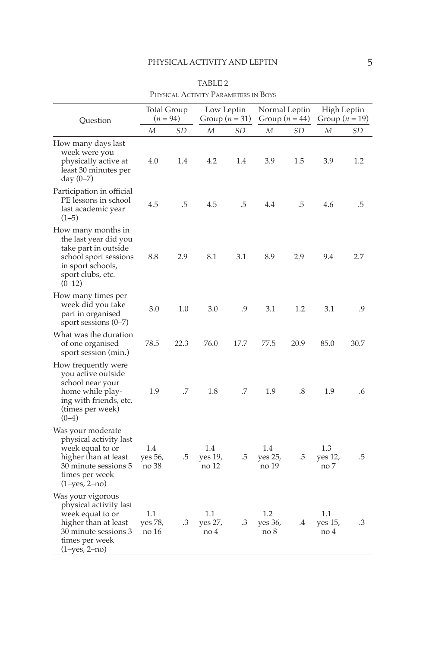| Question                                                                                                                                           | <b>Total Group</b><br>$(n = 94)$ |      | Low Leptin<br>Group ( $n = 31$ ) |      | Normal Leptin<br>Group $(n = 44)$ |      | High Leptin<br>Group ( $n = 19$ ) |      |
|----------------------------------------------------------------------------------------------------------------------------------------------------|----------------------------------|------|----------------------------------|------|-----------------------------------|------|-----------------------------------|------|
|                                                                                                                                                    | М                                | SD   | М                                | SD   | М                                 | SD   | М                                 | SD   |
| How many days last<br>week were you<br>physically active at<br>least 30 minutes per<br>day $(0 - 7)$                                               | 4.0                              | 1.4  | 4.2                              | 1.4  | 3.9                               | 1.5  | 3.9                               | 1.2  |
| Participation in official<br>PE lessons in school<br>last academic year<br>$(1-5)$                                                                 | 4.5                              | .5   | 4.5                              | .5   | 4.4                               | .5   | 4.6                               | .5   |
| How many months in<br>the last year did you<br>take part in outside<br>school sport sessions<br>in sport schools,<br>sport clubs, etc.<br>$(0-12)$ | 8.8                              | 2.9  | 8.1                              | 3.1  | 8.9                               | 2.9  | 9.4                               | 2.7  |
| How many times per<br>week did you take<br>part in organised<br>sport sessions $(0-7)$                                                             | 3.0                              | 1.0  | 3.0                              | .9   | 3.1                               | 1.2  | 3.1                               | .9   |
| What was the duration<br>of one organised<br>sport session (min.)                                                                                  | 78.5                             | 22.3 | 76.0                             | 17.7 | 77.5                              | 20.9 | 85.0                              | 30.7 |
| How frequently were<br>you active outside<br>school near your<br>home while play-<br>ing with friends, etc.<br>(times per week)<br>$(0-4)$         | 1.9                              | .7   | 1.8                              | .7   | 1.9                               | .8   | 1.9                               | .6   |
| Was your moderate<br>physical activity last<br>week equal to or<br>higher than at least<br>30 minute sessions 5<br>times per week<br>(1–yes, 2–no) | 1.4<br>yes 56,<br>no 38          | .5   | 1.4<br>yes 19,<br>no 12          | .5   | 1.4<br>yes 25,<br>no 19           | .5   | 1.3<br>yes 12,<br>no 7            | .5   |
| Was your vigorous<br>physical activity last<br>week equal to or<br>higher than at least<br>30 minute sessions 3<br>times per week<br>(1–yes, 2–no) | 1.1<br>yes 78,<br>no 16          | .3   | 1.1<br>yes 27,<br>no 4           | .3   | 1.2<br>yes 36,<br>no 8            | .4   | 1.1<br>yes 15,<br>no 4            | .3   |

 TABLE 2 PHYSICAL ACTIVITY PARAMETERS IN BOYS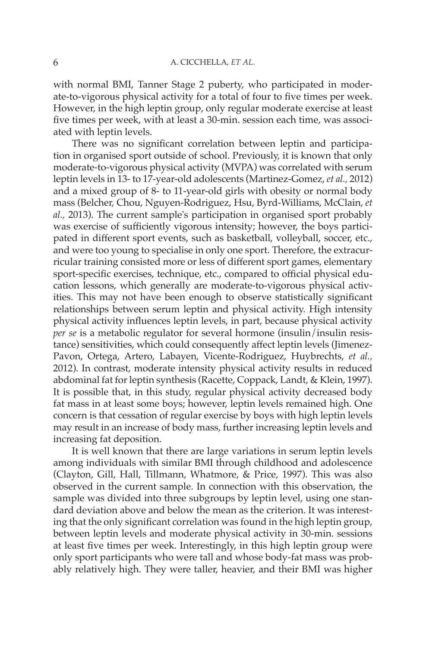with normal BMI, Tanner Stage 2 puberty, who participated in moderate-to-vigorous physical activity for a total of four to five times per week. However, in the high leptin group, only regular moderate exercise at least five times per week, with at least a 30-min. session each time, was associated with leptin levels.

There was no significant correlation between leptin and participation in organised sport outside of school. Previously, it is known that only moderate-to-vigorous physical activity (MVPA) was correlated with serum leptin levels in 13- to 17-year-old adolescents ( Martinez-Gomez, *et al.,* 2012 ) and a mixed group of 8- to 11-year-old girls with obesity or normal body mass ( Belcher, Chou, Nguyen-Rodriguez, Hsu, Byrd-Williams, McClain, *et al.,* 2013 ). The current sample's participation in organised sport probably was exercise of sufficiently vigorous intensity; however, the boys participated in different sport events, such as basketball, volleyball, soccer, etc., and were too young to specialise in only one sport. Therefore, the extracurricular training consisted more or less of different sport games, elementary sport-specific exercises, technique, etc., compared to official physical education lessons, which generally are moderate-to-vigorous physical activities. This may not have been enough to observe statistically significant relationships between serum leptin and physical activity. High intensity physical activity influences leptin levels, in part, because physical activity *per se* is a metabolic regulator for several hormone (insulin/insulin resistance) sensitivities, which could consequently affect leptin levels (Jimenez-Pavon, Ortega, Artero, Labayen, Vicente-Rodriguez, Huybrechts, *et al.,* 2012). In contrast, moderate intensity physical activity results in reduced abdominal fat for leptin synthesis (Racette, Coppack, Landt, & Klein, 1997). It is possible that, in this study, regular physical activity decreased body fat mass in at least some boys; however, leptin levels remained high. One concern is that cessation of regular exercise by boys with high leptin levels may result in an increase of body mass, further increasing leptin levels and increasing fat deposition.

 It is well known that there are large variations in serum leptin levels among individuals with similar BMI through childhood and adolescence (Clayton, Gill, Hall, Tillmann, Whatmore, & Price, 1997). This was also observed in the current sample. In connection with this observation, the sample was divided into three subgroups by leptin level, using one standard deviation above and below the mean as the criterion. It was interesting that the only significant correlation was found in the high leptin group, between leptin levels and moderate physical activity in 30-min. sessions at least five times per week. Interestingly, in this high leptin group were only sport participants who were tall and whose body-fat mass was probably relatively high. They were taller, heavier, and their BMI was higher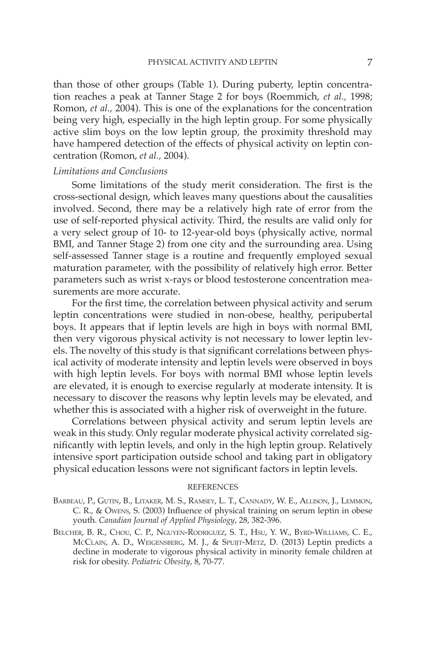than those of other groups (Table 1). During puberty, leptin concentration reaches a peak at Tanner Stage 2 for boys (Roemmich, et al., 1998; Romon, *et al.*, 2004). This is one of the explanations for the concentration being very high, especially in the high leptin group. For some physically active slim boys on the low leptin group, the proximity threshold may have hampered detection of the effects of physical activity on leptin concentration ( Romon, *et al.,* 2004 ).

# *Limitations and Conclusions*

Some limitations of the study merit consideration. The first is the cross-sectional design, which leaves many questions about the causalities involved. Second, there may be a relatively high rate of error from the use of self-reported physical activity. Third, the results are valid only for a very select group of 10- to 12-year-old boys (physically active, normal BMI, and Tanner Stage 2) from one city and the surrounding area. Using self-assessed Tanner stage is a routine and frequently employed sexual maturation parameter, with the possibility of relatively high error. Better parameters such as wrist x-rays or blood testosterone concentration measurements are more accurate.

For the first time, the correlation between physical activity and serum leptin concentrations were studied in non-obese, healthy, peripubertal boys. It appears that if leptin levels are high in boys with normal BMI, then very vigorous physical activity is not necessary to lower leptin levels. The novelty of this study is that significant correlations between physical activity of moderate intensity and leptin levels were observed in boys with high leptin levels. For boys with normal BMI whose leptin levels are elevated, it is enough to exercise regularly at moderate intensity. It is necessary to discover the reasons why leptin levels may be elevated, and whether this is associated with a higher risk of overweight in the future.

 Correlations between physical activity and serum leptin levels are weak in this study. Only regular moderate physical activity correlated significantly with leptin levels, and only in the high leptin group. Relatively intensive sport participation outside school and taking part in obligatory physical education lessons were not significant factors in leptin levels.

#### REFERENCES

- BARBEAU, P., GUTIN, B., LITAKER, M. S., RAMSEY, L. T., CANNADY, W. E., ALLISON, J., LEMMON, C. R., & OWENS, S. (2003) Influence of physical training on serum leptin in obese youth. *Canadian Journal of Applied Physiology*, 28, 382-396.
- BELCHER, B. R., CHOU, C. P., NGUYEN-RODRIGUEZ, S. T., HSU, Y. W., BYRD-WILLIAMS, C. E., MCCLAIN, A. D., WEIGENSBERG, M. J., & SPUIJT-METZ, D. (2013) Leptin predicts a decline in moderate to vigorous physical activity in minority female children at risk for obesity. *Pediatric Obesity*, 8, 70-77.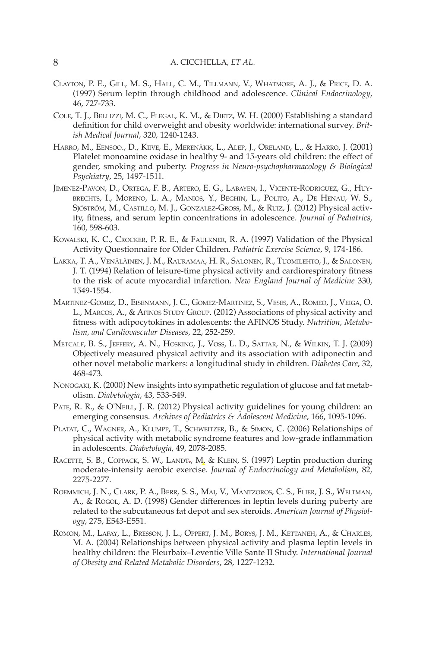- CLAYTON, P. E., GILL, M. S., HALL, C. M., TILLMANN, V., WHATMORE, A. J., & PRICE, D. A. ( 1997 ) Serum leptin through childhood and adolescence . *Clinical Endocrinology* , 46, 727-733.
- COLE, T. J., BELLIZZI, M. C., FLEGAL, K. M., & DIETZ, W. H. (2000) Establishing a standard definition for child overweight and obesity worldwide: international survey. Brit*ish Medical Journal*, 320, 1240-1243.
- HARRO, M., EENSOO., D., KIIVE, E., MERENÄKK, L., ALEP, J., ORELAND, L., & HARRO, J. (2001) Platelet monoamine oxidase in healthy 9- and 15-years old children: the effect of gender, smoking and puberty. *Progress in Neuro-psychopharmacology & Biological Psychiatry* , 25 , 1497 - 1511 .
- JIMENEZ-PAVON, D., ORTEGA, F. B., ARTERO, E. G., LABAYEN, I., VICENTE-RODRIGUEZ, G., HUY-BRECHTS, I., MORENO, L. A., MANIOS, Y., BEGHIN, L., POLITO, A., DE HENAU, W. S., SJÖSTRÖM, M., CASTILLO, M. J., GONZALEZ-GROSS, M., & RUIZ, J. (2012) Physical activity, fitness, and serum leptin concentrations in adolescence. *Journal of Pediatrics*, 160, 598-603.
- KOWALSKI, K. C., CROCKER, P. R. E., & FAULKNER, R. A. (1997) Validation of the Physical Activity Questionnaire for Older Children. *Pediatric Exercise Science*, 9, 174-186.
- LAKKA, T. A., VENÄLÄINEN, J. M., RAURAMAA, H. R., SALONEN, R., TUOMILEHTO, J., & SALONEN, J. T. (1994) Relation of leisure-time physical activity and cardiorespiratory fitness to the risk of acute myocardial infarction. *New England Journal of Medicine* 330, 1549-1554.
- MARTINEZ-GOMEZ, D., EISENMANN, J. C., GOMEZ-MARTINEZ, S., VESES, A., ROMEO, J., VEIGA, O. L., MARCOS, A., & AFINOS STUDY GROUP. (2012) Associations of physical activity and fitness with adipocytokines in adolescents: the AFINOS Study. *Nutrition*, *Metabolism, and Cardiovascular Diseases* , 22 , 252 - 259 .
- METCALF, B. S., JEFFERY, A. N., HOSKING, J., VOSS, L. D., SATTAR, N., & WILKIN, T. J. (2009) Objectively measured physical activity and its association with adiponectin and other novel metabolic markers: a longitudinal study in children . *Diabetes Care* , 32 , 468-473.
- NONOGAKI, K. (2000) New insights into sympathetic regulation of glucose and fat metabolism . *Diabetologia* , 43 , 533 - 549 .
- PATE, R. R., & O'NEILL, J. R. (2012) Physical activity guidelines for young children: an emerging consensus. Archives of Pediatrics & Adolescent Medicine, 166, 1095-1096.
- PLATAT, C., WAGNER, A., KLUMPP, T., SCHWEITZER, B., & SIMON, C. (2006) Relationships of physical activity with metabolic syndrome features and low-grade inflammation in adolescents. *Diabetologia*, 49, 2078-2085.
- RACETTE, S. B., COPPACK, S. W., LANDT<sub>r</sub>, M<sub>1</sub> & KLEIN, S. (1997) Leptin production during moderate-intensity aerobic exercise. *Journal of Endocrinology and Metabolism*, 82, 2275 - 2277 .
- ROEMMICH, J. N., CLARK, P. A., BERR, S. S., MAI, V., MANTZOROS, C. S., FLIER, J. S., WELTMAN, A., & ROGOL, A. D. (1998) Gender differences in leptin levels during puberty are related to the subcutaneous fat depot and sex steroids . *American Journal of Physiology* , 275 , E543 - E551 .
- ROMON, M., LAFAY, L., BRESSON, J. L., OPPERT, J. M., BORYS, J. M., KETTANEH, A., & CHARLES, M. A. ( 2004 ) Relationships between physical activity and plasma leptin levels in healthy children: the Fleurbaix–Leventie Ville Sante II Study . *International Journal of Obesity and Related Metabolic Disorders* , 28 , 1227 - 1232 .